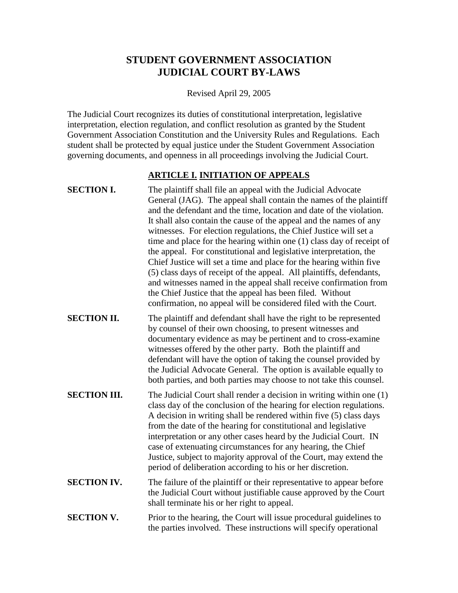# **STUDENT GOVERNMENT ASSOCIATION JUDICIAL COURT BY-LAWS**

Revised April 29, 2005

The Judicial Court recognizes its duties of constitutional interpretation, legislative interpretation, election regulation, and conflict resolution as granted by the Student Government Association Constitution and the University Rules and Regulations. Each student shall be protected by equal justice under the Student Government Association governing documents, and openness in all proceedings involving the Judicial Court.

### **ARTICLE I. INITIATION OF APPEALS**

- **SECTION I.** The plaintiff shall file an appeal with the Judicial Advocate General (JAG). The appeal shall contain the names of the plaintiff and the defendant and the time, location and date of the violation. It shall also contain the cause of the appeal and the names of any witnesses. For election regulations, the Chief Justice will set a time and place for the hearing within one (1) class day of receipt of the appeal. For constitutional and legislative interpretation, the Chief Justice will set a time and place for the hearing within five (5) class days of receipt of the appeal. All plaintiffs, defendants, and witnesses named in the appeal shall receive confirmation from the Chief Justice that the appeal has been filed. Without confirmation, no appeal will be considered filed with the Court.
- **SECTION II.** The plaintiff and defendant shall have the right to be represented by counsel of their own choosing, to present witnesses and documentary evidence as may be pertinent and to cross-examine witnesses offered by the other party. Both the plaintiff and defendant will have the option of taking the counsel provided by the Judicial Advocate General. The option is available equally to both parties, and both parties may choose to not take this counsel.
- **SECTION III.** The Judicial Court shall render a decision in writing within one (1) class day of the conclusion of the hearing for election regulations. A decision in writing shall be rendered within five (5) class days from the date of the hearing for constitutional and legislative interpretation or any other cases heard by the Judicial Court. IN case of extenuating circumstances for any hearing, the Chief Justice, subject to majority approval of the Court, may extend the period of deliberation according to his or her discretion.
- **SECTION IV.** The failure of the plaintiff or their representative to appear before the Judicial Court without justifiable cause approved by the Court shall terminate his or her right to appeal.
- **SECTION V.** Prior to the hearing, the Court will issue procedural guidelines to the parties involved. These instructions will specify operational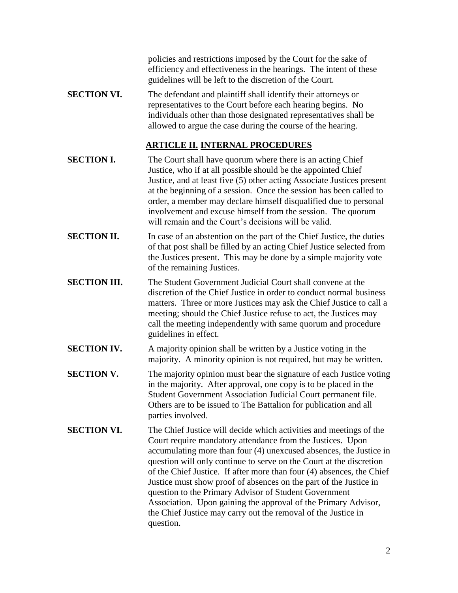policies and restrictions imposed by the Court for the sake of efficiency and effectiveness in the hearings. The intent of these guidelines will be left to the discretion of the Court.

**SECTION VI.** The defendant and plaintiff shall identify their attorneys or representatives to the Court before each hearing begins. No individuals other than those designated representatives shall be allowed to argue the case during the course of the hearing.

#### **ARTICLE II. INTERNAL PROCEDURES**

- **SECTION I.** The Court shall have quorum where there is an acting Chief Justice, who if at all possible should be the appointed Chief Justice, and at least five (5) other acting Associate Justices present at the beginning of a session. Once the session has been called to order, a member may declare himself disqualified due to personal involvement and excuse himself from the session. The quorum will remain and the Court's decisions will be valid.
- **SECTION II.** In case of an abstention on the part of the Chief Justice, the duties of that post shall be filled by an acting Chief Justice selected from the Justices present. This may be done by a simple majority vote of the remaining Justices.
- **SECTION III.** The Student Government Judicial Court shall convene at the discretion of the Chief Justice in order to conduct normal business matters. Three or more Justices may ask the Chief Justice to call a meeting; should the Chief Justice refuse to act, the Justices may call the meeting independently with same quorum and procedure guidelines in effect.
- **SECTION IV.** A majority opinion shall be written by a Justice voting in the majority. A minority opinion is not required, but may be written.
- **SECTION V.** The majority opinion must bear the signature of each Justice voting in the majority. After approval, one copy is to be placed in the Student Government Association Judicial Court permanent file. Others are to be issued to The Battalion for publication and all parties involved.
- **SECTION VI.** The Chief Justice will decide which activities and meetings of the Court require mandatory attendance from the Justices. Upon accumulating more than four (4) unexcused absences, the Justice in question will only continue to serve on the Court at the discretion of the Chief Justice. If after more than four (4) absences, the Chief Justice must show proof of absences on the part of the Justice in question to the Primary Advisor of Student Government Association. Upon gaining the approval of the Primary Advisor, the Chief Justice may carry out the removal of the Justice in question.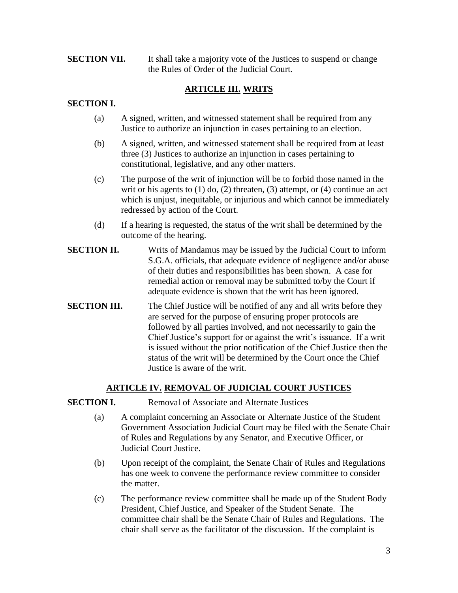#### **SECTION VII.** It shall take a majority vote of the Justices to suspend or change the Rules of Order of the Judicial Court.

# **ARTICLE III. WRITS**

### **SECTION I.**

- (a) A signed, written, and witnessed statement shall be required from any Justice to authorize an injunction in cases pertaining to an election.
- (b) A signed, written, and witnessed statement shall be required from at least three (3) Justices to authorize an injunction in cases pertaining to constitutional, legislative, and any other matters.
- (c) The purpose of the writ of injunction will be to forbid those named in the writ or his agents to  $(1)$  do,  $(2)$  threaten,  $(3)$  attempt, or  $(4)$  continue an act which is unjust, inequitable, or injurious and which cannot be immediately redressed by action of the Court.
- (d) If a hearing is requested, the status of the writ shall be determined by the outcome of the hearing.
- **SECTION II.** Writs of Mandamus may be issued by the Judicial Court to inform S.G.A. officials, that adequate evidence of negligence and/or abuse of their duties and responsibilities has been shown. A case for remedial action or removal may be submitted to/by the Court if adequate evidence is shown that the writ has been ignored.
- **SECTION III.** The Chief Justice will be notified of any and all writs before they are served for the purpose of ensuring proper protocols are followed by all parties involved, and not necessarily to gain the Chief Justice's support for or against the writ's issuance. If a writ is issued without the prior notification of the Chief Justice then the status of the writ will be determined by the Court once the Chief Justice is aware of the writ.

#### **ARTICLE IV. REMOVAL OF JUDICIAL COURT JUSTICES**

#### **SECTION I.** Removal of Associate and Alternate Justices

- (a) A complaint concerning an Associate or Alternate Justice of the Student Government Association Judicial Court may be filed with the Senate Chair of Rules and Regulations by any Senator, and Executive Officer, or Judicial Court Justice.
- (b) Upon receipt of the complaint, the Senate Chair of Rules and Regulations has one week to convene the performance review committee to consider the matter.
- (c) The performance review committee shall be made up of the Student Body President, Chief Justice, and Speaker of the Student Senate. The committee chair shall be the Senate Chair of Rules and Regulations. The chair shall serve as the facilitator of the discussion. If the complaint is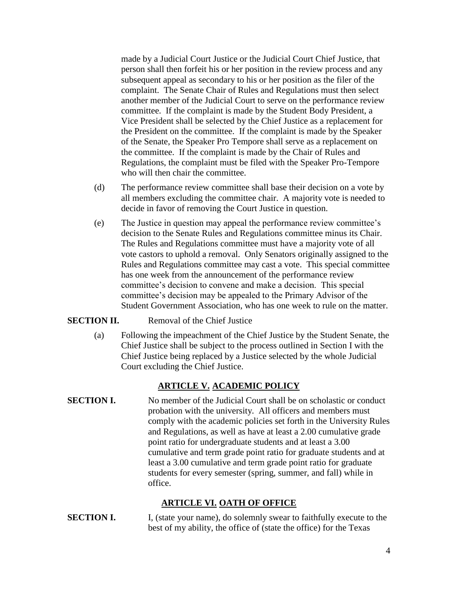made by a Judicial Court Justice or the Judicial Court Chief Justice, that person shall then forfeit his or her position in the review process and any subsequent appeal as secondary to his or her position as the filer of the complaint. The Senate Chair of Rules and Regulations must then select another member of the Judicial Court to serve on the performance review committee. If the complaint is made by the Student Body President, a Vice President shall be selected by the Chief Justice as a replacement for the President on the committee. If the complaint is made by the Speaker of the Senate, the Speaker Pro Tempore shall serve as a replacement on the committee. If the complaint is made by the Chair of Rules and Regulations, the complaint must be filed with the Speaker Pro-Tempore who will then chair the committee.

- (d) The performance review committee shall base their decision on a vote by all members excluding the committee chair. A majority vote is needed to decide in favor of removing the Court Justice in question.
- (e) The Justice in question may appeal the performance review committee's decision to the Senate Rules and Regulations committee minus its Chair. The Rules and Regulations committee must have a majority vote of all vote castors to uphold a removal. Only Senators originally assigned to the Rules and Regulations committee may cast a vote. This special committee has one week from the announcement of the performance review committee's decision to convene and make a decision. This special committee's decision may be appealed to the Primary Advisor of the Student Government Association, who has one week to rule on the matter.

#### **SECTION II.** Removal of the Chief Justice

(a) Following the impeachment of the Chief Justice by the Student Senate, the Chief Justice shall be subject to the process outlined in Section I with the Chief Justice being replaced by a Justice selected by the whole Judicial Court excluding the Chief Justice.

#### **ARTICLE V. ACADEMIC POLICY**

**SECTION I.** No member of the Judicial Court shall be on scholastic or conduct probation with the university. All officers and members must comply with the academic policies set forth in the University Rules and Regulations, as well as have at least a 2.00 cumulative grade point ratio for undergraduate students and at least a 3.00 cumulative and term grade point ratio for graduate students and at least a 3.00 cumulative and term grade point ratio for graduate students for every semester (spring, summer, and fall) while in office.

# **ARTICLE VI. OATH OF OFFICE**

**SECTION I.** I, (state your name), do solemnly swear to faithfully execute to the best of my ability, the office of (state the office) for the Texas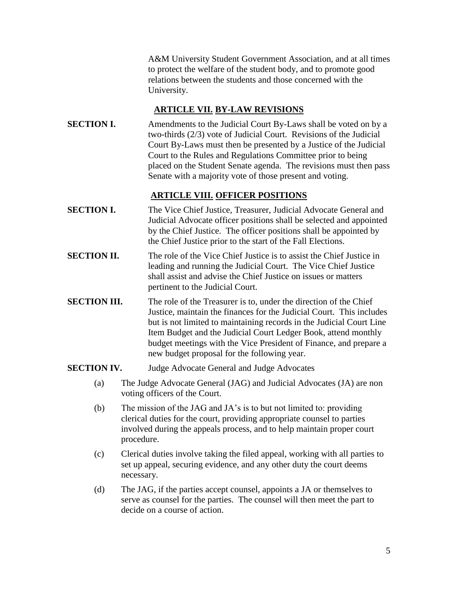A&M University Student Government Association, and at all times to protect the welfare of the student body, and to promote good relations between the students and those concerned with the University.

### **ARTICLE VII. BY-LAW REVISIONS**

**SECTION I.** Amendments to the Judicial Court By-Laws shall be voted on by a two-thirds (2/3) vote of Judicial Court. Revisions of the Judicial Court By-Laws must then be presented by a Justice of the Judicial Court to the Rules and Regulations Committee prior to being placed on the Student Senate agenda. The revisions must then pass Senate with a majority vote of those present and voting.

# **ARTICLE VIII. OFFICER POSITIONS**

- **SECTION I.** The Vice Chief Justice, Treasurer, Judicial Advocate General and Judicial Advocate officer positions shall be selected and appointed by the Chief Justice. The officer positions shall be appointed by the Chief Justice prior to the start of the Fall Elections.
- **SECTION II.** The role of the Vice Chief Justice is to assist the Chief Justice in leading and running the Judicial Court. The Vice Chief Justice shall assist and advise the Chief Justice on issues or matters pertinent to the Judicial Court.
- **SECTION III.** The role of the Treasurer is to, under the direction of the Chief Justice, maintain the finances for the Judicial Court. This includes but is not limited to maintaining records in the Judicial Court Line Item Budget and the Judicial Court Ledger Book, attend monthly budget meetings with the Vice President of Finance, and prepare a new budget proposal for the following year.

#### **SECTION IV.** Judge Advocate General and Judge Advocates

- (a) The Judge Advocate General (JAG) and Judicial Advocates (JA) are non voting officers of the Court.
- (b) The mission of the JAG and JA's is to but not limited to: providing clerical duties for the court, providing appropriate counsel to parties involved during the appeals process, and to help maintain proper court procedure.
- (c) Clerical duties involve taking the filed appeal, working with all parties to set up appeal, securing evidence, and any other duty the court deems necessary.
- (d) The JAG, if the parties accept counsel, appoints a JA or themselves to serve as counsel for the parties. The counsel will then meet the part to decide on a course of action.